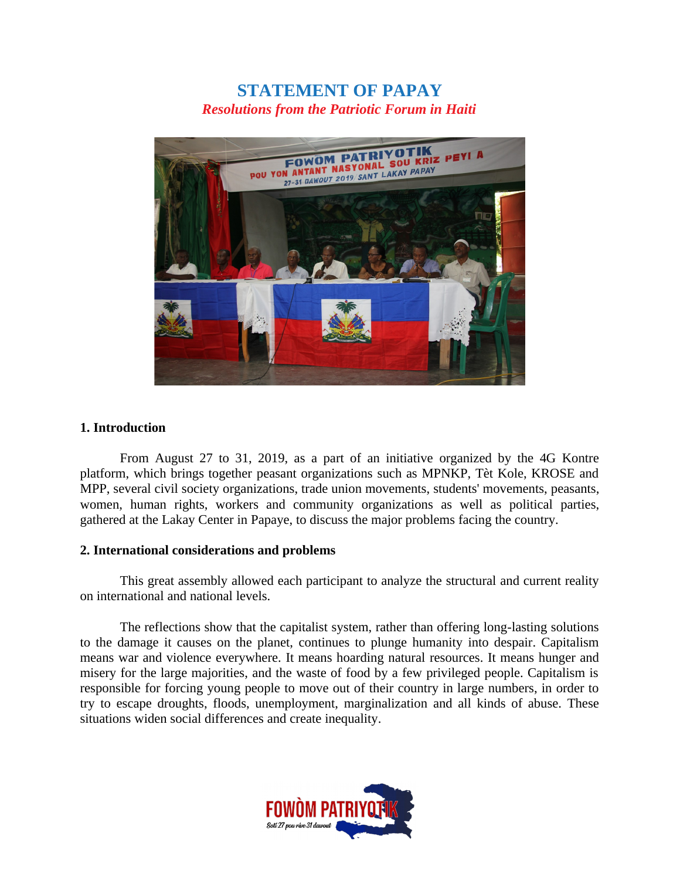# **STATEMENT OF PAPAY** *Resolutions from the Patriotic Forum in Haiti*



### **1. Introduction**

From August 27 to 31, 2019, as a part of an initiative organized by the 4G Kontre platform, which brings together peasant organizations such as MPNKP, Tèt Kole, KROSE and MPP, several civil society organizations, trade union movements, students' movements, peasants, women, human rights, workers and community organizations as well as political parties, gathered at the Lakay Center in Papaye, to discuss the major problems facing the country.

#### **2. International considerations and problems**

This great assembly allowed each participant to analyze the structural and current reality on international and national levels.

The reflections show that the capitalist system, rather than offering long-lasting solutions to the damage it causes on the planet, continues to plunge humanity into despair. Capitalism means war and violence everywhere. It means hoarding natural resources. It means hunger and misery for the large majorities, and the waste of food by a few privileged people. Capitalism is responsible for forcing young people to move out of their country in large numbers, in order to try to escape droughts, floods, unemployment, marginalization and all kinds of abuse. These situations widen social differences and create inequality.

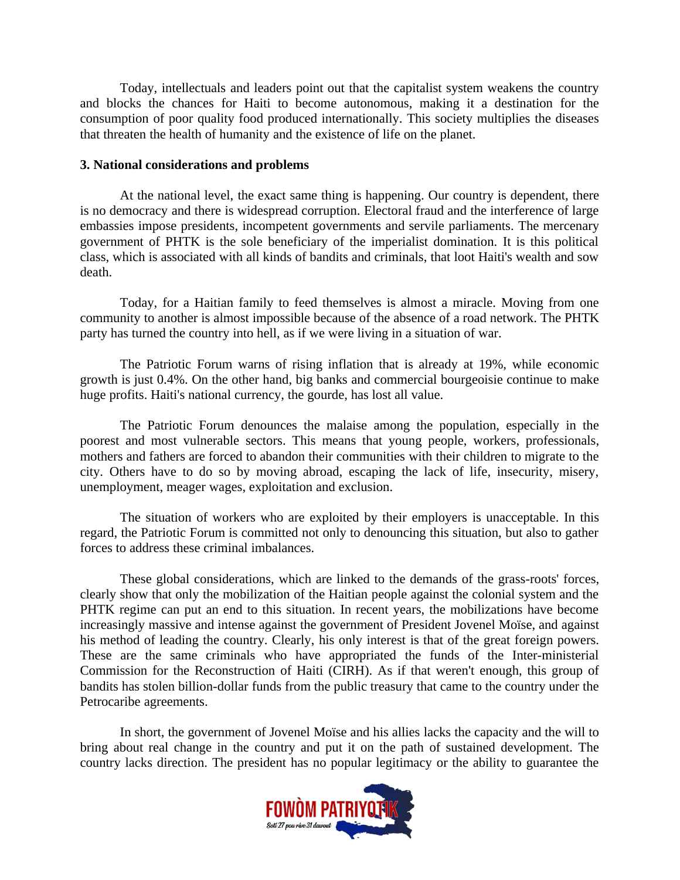Today, intellectuals and leaders point out that the capitalist system weakens the country and blocks the chances for Haiti to become autonomous, making it a destination for the consumption of poor quality food produced internationally. This society multiplies the diseases that threaten the health of humanity and the existence of life on the planet.

#### **3. National considerations and problems**

At the national level, the exact same thing is happening. Our country is dependent, there is no democracy and there is widespread corruption. Electoral fraud and the interference of large embassies impose presidents, incompetent governments and servile parliaments. The mercenary government of PHTK is the sole beneficiary of the imperialist domination. It is this political class, which is associated with all kinds of bandits and criminals, that loot Haiti's wealth and sow death.

Today, for a Haitian family to feed themselves is almost a miracle. Moving from one community to another is almost impossible because of the absence of a road network. The PHTK party has turned the country into hell, as if we were living in a situation of war.

The Patriotic Forum warns of rising inflation that is already at 19%, while economic growth is just 0.4%. On the other hand, big banks and commercial bourgeoisie continue to make huge profits. Haiti's national currency, the gourde, has lost all value.

The Patriotic Forum denounces the malaise among the population, especially in the poorest and most vulnerable sectors. This means that young people, workers, professionals, mothers and fathers are forced to abandon their communities with their children to migrate to the city. Others have to do so by moving abroad, escaping the lack of life, insecurity, misery, unemployment, meager wages, exploitation and exclusion.

The situation of workers who are exploited by their employers is unacceptable. In this regard, the Patriotic Forum is committed not only to denouncing this situation, but also to gather forces to address these criminal imbalances.

These global considerations, which are linked to the demands of the grass-roots' forces, clearly show that only the mobilization of the Haitian people against the colonial system and the PHTK regime can put an end to this situation. In recent years, the mobilizations have become increasingly massive and intense against the government of President Jovenel Moïse, and against his method of leading the country. Clearly, his only interest is that of the great foreign powers. These are the same criminals who have appropriated the funds of the Inter-ministerial Commission for the Reconstruction of Haiti (CIRH). As if that weren't enough, this group of bandits has stolen billion-dollar funds from the public treasury that came to the country under the Petrocaribe agreements.

In short, the government of Jovenel Moïse and his allies lacks the capacity and the will to bring about real change in the country and put it on the path of sustained development. The country lacks direction. The president has no popular legitimacy or the ability to guarantee the

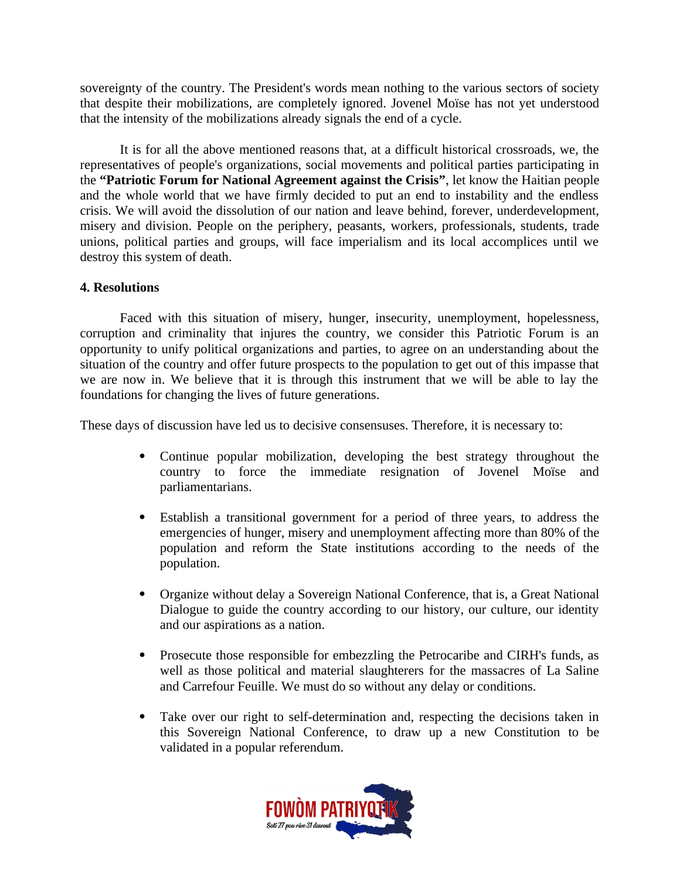sovereignty of the country. The President's words mean nothing to the various sectors of society that despite their mobilizations, are completely ignored. Jovenel Moïse has not yet understood that the intensity of the mobilizations already signals the end of a cycle.

It is for all the above mentioned reasons that, at a difficult historical crossroads, we, the representatives of people's organizations, social movements and political parties participating in the **"Patriotic Forum for National Agreement against the Crisis"**, let know the Haitian people and the whole world that we have firmly decided to put an end to instability and the endless crisis. We will avoid the dissolution of our nation and leave behind, forever, underdevelopment, misery and division. People on the periphery, peasants, workers, professionals, students, trade unions, political parties and groups, will face imperialism and its local accomplices until we destroy this system of death.

## **4. Resolutions**

Faced with this situation of misery, hunger, insecurity, unemployment, hopelessness, corruption and criminality that injures the country, we consider this Patriotic Forum is an opportunity to unify political organizations and parties, to agree on an understanding about the situation of the country and offer future prospects to the population to get out of this impasse that we are now in. We believe that it is through this instrument that we will be able to lay the foundations for changing the lives of future generations.

These days of discussion have led us to decisive consensuses. Therefore, it is necessary to:

- Continue popular mobilization, developing the best strategy throughout the country to force the immediate resignation of Jovenel Moïse and parliamentarians.
- Establish a transitional government for a period of three years, to address the emergencies of hunger, misery and unemployment affecting more than 80% of the population and reform the State institutions according to the needs of the population.
- Organize without delay a Sovereign National Conference, that is, a Great National Dialogue to guide the country according to our history, our culture, our identity and our aspirations as a nation.
- Prosecute those responsible for embezzling the Petrocaribe and CIRH's funds, as well as those political and material slaughterers for the massacres of La Saline and Carrefour Feuille. We must do so without any delay or conditions.
- Take over our right to self-determination and, respecting the decisions taken in this Sovereign National Conference, to draw up a new Constitution to be validated in a popular referendum.